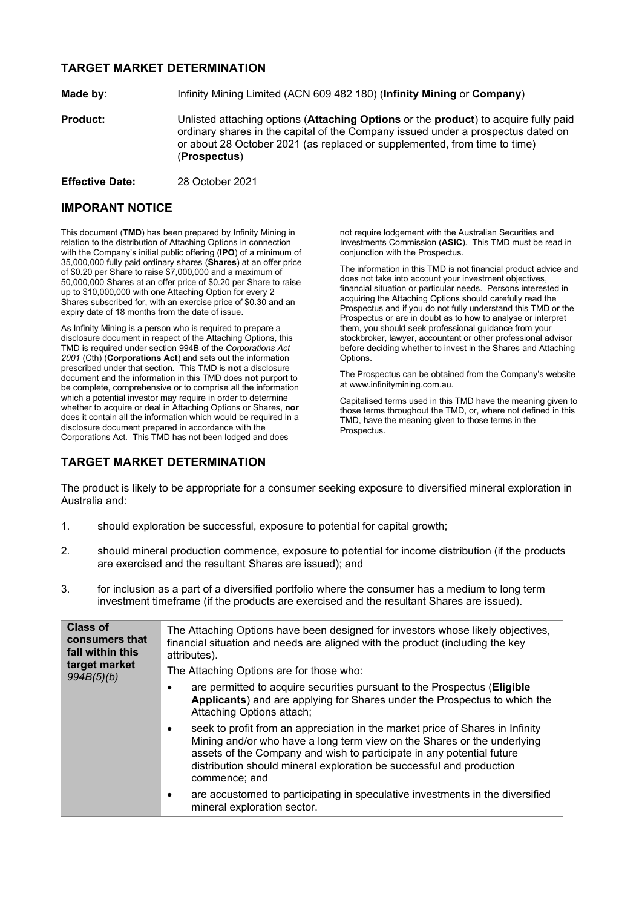## **TARGET MARKET DETERMINATION**

**Made by**: Infinity Mining Limited (ACN 609 482 180) (**Infinity Mining** or **Company**)

**Product:** Unlisted attaching options (**Attaching Options** or the **product**) to acquire fully paid ordinary shares in the capital of the Company issued under a prospectus dated on or about 28 October 2021 (as replaced or supplemented, from time to time) (**Prospectus**)

**Effective Date:** 28 October 2021

## **IMPORANT NOTICE**

This document (**TMD**) has been prepared by Infinity Mining in relation to the distribution of Attaching Options in connection with the Company's initial public offering (**IPO**) of a minimum of 35,000,000 fully paid ordinary shares (**Shares**) at an offer price of \$0.20 per Share to raise \$7,000,000 and a maximum of 50,000,000 Shares at an offer price of \$0.20 per Share to raise up to \$10,000,000 with one Attaching Option for every 2 Shares subscribed for, with an exercise price of \$0.30 and an expiry date of 18 months from the date of issue.

As Infinity Mining is a person who is required to prepare a disclosure document in respect of the Attaching Options, this TMD is required under section 994B of the *Corporations Act 2001* (Cth) (**Corporations Act**) and sets out the information prescribed under that section. This TMD is **not** a disclosure document and the information in this TMD does **not** purport to be complete, comprehensive or to comprise all the information which a potential investor may require in order to determine whether to acquire or deal in Attaching Options or Shares, **nor** does it contain all the information which would be required in a disclosure document prepared in accordance with the Corporations Act. This TMD has not been lodged and does

**TARGET MARKET DETERMINATION**

not require lodgement with the Australian Securities and Investments Commission (**ASIC**). This TMD must be read in conjunction with the Prospectus.

The information in this TMD is not financial product advice and does not take into account your investment objectives, financial situation or particular needs. Persons interested in acquiring the Attaching Options should carefully read the Prospectus and if you do not fully understand this TMD or the Prospectus or are in doubt as to how to analyse or interpret them, you should seek professional guidance from your stockbroker, lawyer, accountant or other professional advisor before deciding whether to invest in the Shares and Attaching Options.

The Prospectus can be obtained from the Company's website at www.infinitymining.com.au.

Capitalised terms used in this TMD have the meaning given to those terms throughout the TMD, or, where not defined in this TMD, have the meaning given to those terms in the Prospectus.

The product is likely to be appropriate for a consumer seeking exposure to diversified mineral exploration in Australia and:

- 1. should exploration be successful, exposure to potential for capital growth;
- 2. should mineral production commence, exposure to potential for income distribution (if the products are exercised and the resultant Shares are issued); and
- 3. for inclusion as a part of a diversified portfolio where the consumer has a medium to long term investment timeframe (if the products are exercised and the resultant Shares are issued).

| <b>Class of</b><br>consumers that<br>fall within this<br>target market<br>994B(5)(b) | The Attaching Options have been designed for investors whose likely objectives,<br>financial situation and needs are aligned with the product (including the key<br>attributes).                                                                                                                                           |
|--------------------------------------------------------------------------------------|----------------------------------------------------------------------------------------------------------------------------------------------------------------------------------------------------------------------------------------------------------------------------------------------------------------------------|
|                                                                                      | The Attaching Options are for those who:                                                                                                                                                                                                                                                                                   |
|                                                                                      | are permitted to acquire securities pursuant to the Prospectus ( <b>Eligible</b><br>Applicants) and are applying for Shares under the Prospectus to which the<br>Attaching Options attach;                                                                                                                                 |
|                                                                                      | seek to profit from an appreciation in the market price of Shares in Infinity<br>Mining and/or who have a long term view on the Shares or the underlying<br>assets of the Company and wish to participate in any potential future<br>distribution should mineral exploration be successful and production<br>commence; and |
|                                                                                      | are accustomed to participating in speculative investments in the diversified<br>mineral exploration sector.                                                                                                                                                                                                               |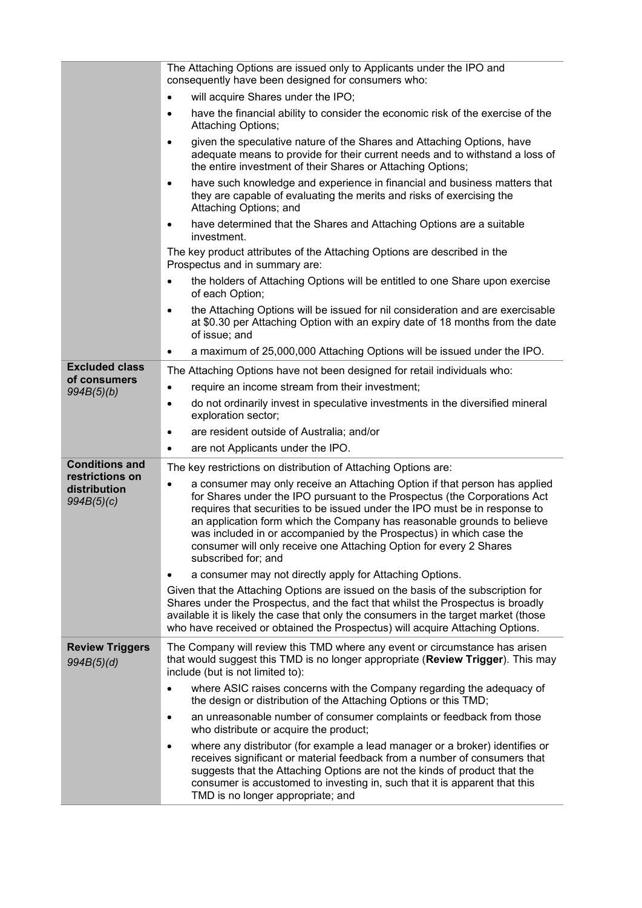|                                               | The Attaching Options are issued only to Applicants under the IPO and<br>consequently have been designed for consumers who:                                                                                                                                                                                                                                                                                                                                                                       |
|-----------------------------------------------|---------------------------------------------------------------------------------------------------------------------------------------------------------------------------------------------------------------------------------------------------------------------------------------------------------------------------------------------------------------------------------------------------------------------------------------------------------------------------------------------------|
|                                               | will acquire Shares under the IPO;<br>$\bullet$                                                                                                                                                                                                                                                                                                                                                                                                                                                   |
|                                               | have the financial ability to consider the economic risk of the exercise of the<br>$\bullet$<br>Attaching Options;                                                                                                                                                                                                                                                                                                                                                                                |
|                                               | given the speculative nature of the Shares and Attaching Options, have<br>$\bullet$<br>adequate means to provide for their current needs and to withstand a loss of<br>the entire investment of their Shares or Attaching Options;                                                                                                                                                                                                                                                                |
|                                               | have such knowledge and experience in financial and business matters that<br>$\bullet$<br>they are capable of evaluating the merits and risks of exercising the<br>Attaching Options; and                                                                                                                                                                                                                                                                                                         |
|                                               | have determined that the Shares and Attaching Options are a suitable<br>$\bullet$<br>investment.                                                                                                                                                                                                                                                                                                                                                                                                  |
|                                               | The key product attributes of the Attaching Options are described in the<br>Prospectus and in summary are:                                                                                                                                                                                                                                                                                                                                                                                        |
|                                               | the holders of Attaching Options will be entitled to one Share upon exercise<br>$\bullet$<br>of each Option;                                                                                                                                                                                                                                                                                                                                                                                      |
|                                               | the Attaching Options will be issued for nil consideration and are exercisable<br>$\bullet$<br>at \$0.30 per Attaching Option with an expiry date of 18 months from the date<br>of issue; and                                                                                                                                                                                                                                                                                                     |
|                                               | a maximum of 25,000,000 Attaching Options will be issued under the IPO.<br>٠                                                                                                                                                                                                                                                                                                                                                                                                                      |
| <b>Excluded class</b>                         | The Attaching Options have not been designed for retail individuals who:                                                                                                                                                                                                                                                                                                                                                                                                                          |
| of consumers<br>994B(5)(b)                    | require an income stream from their investment;<br>$\bullet$                                                                                                                                                                                                                                                                                                                                                                                                                                      |
|                                               | do not ordinarily invest in speculative investments in the diversified mineral<br>$\bullet$<br>exploration sector;                                                                                                                                                                                                                                                                                                                                                                                |
|                                               | are resident outside of Australia; and/or<br>$\bullet$                                                                                                                                                                                                                                                                                                                                                                                                                                            |
|                                               | are not Applicants under the IPO.<br>$\bullet$                                                                                                                                                                                                                                                                                                                                                                                                                                                    |
| <b>Conditions and</b>                         | The key restrictions on distribution of Attaching Options are:                                                                                                                                                                                                                                                                                                                                                                                                                                    |
| restrictions on<br>distribution<br>994B(5)(c) | a consumer may only receive an Attaching Option if that person has applied<br>$\bullet$<br>for Shares under the IPO pursuant to the Prospectus (the Corporations Act<br>requires that securities to be issued under the IPO must be in response to<br>an application form which the Company has reasonable grounds to believe<br>was included in or accompanied by the Prospectus) in which case the<br>consumer will only receive one Attaching Option for every 2 Shares<br>subscribed for; and |
|                                               | a consumer may not directly apply for Attaching Options.                                                                                                                                                                                                                                                                                                                                                                                                                                          |
|                                               | Given that the Attaching Options are issued on the basis of the subscription for<br>Shares under the Prospectus, and the fact that whilst the Prospectus is broadly<br>available it is likely the case that only the consumers in the target market (those<br>who have received or obtained the Prospectus) will acquire Attaching Options.                                                                                                                                                       |
| <b>Review Triggers</b><br>994B(5)(d)          | The Company will review this TMD where any event or circumstance has arisen<br>that would suggest this TMD is no longer appropriate (Review Trigger). This may<br>include (but is not limited to):                                                                                                                                                                                                                                                                                                |
|                                               | where ASIC raises concerns with the Company regarding the adequacy of<br>$\bullet$<br>the design or distribution of the Attaching Options or this TMD;                                                                                                                                                                                                                                                                                                                                            |
|                                               | an unreasonable number of consumer complaints or feedback from those<br>$\bullet$<br>who distribute or acquire the product;                                                                                                                                                                                                                                                                                                                                                                       |
|                                               | where any distributor (for example a lead manager or a broker) identifies or<br>$\bullet$<br>receives significant or material feedback from a number of consumers that<br>suggests that the Attaching Options are not the kinds of product that the<br>consumer is accustomed to investing in, such that it is apparent that this<br>TMD is no longer appropriate; and                                                                                                                            |